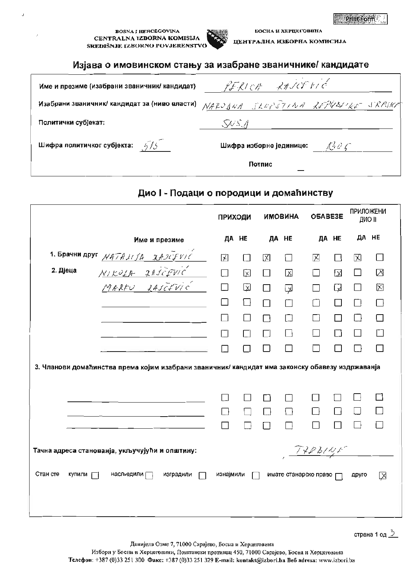**BOSNA I HERCEGOVINA** CENTRALNA IZBORNA KOMISLJA SKEDIŠNJE IZBORNO POVJERENSTVO



БОСНА И ХЕРЦЕГОВИНА ЦЕНТРАЛНА ИЗБОРНА КОМИСИЈА

#### Изјава о имовинском стању за изабране званичнике/ кандидате

| Име и презиме (изабрани званичник/ кандидат) | PERICA RAJET VIC                |
|----------------------------------------------|---------------------------------|
|                                              |                                 |
| Политички субјекат:                          | SVS                             |
| Шифра политичког субјекта: $6/6$             | 130C<br>Шифра изборне јединице: |
|                                              | Потпис                          |

## Дио I - Подаци о породици и домаћинству

|                    |                                                                                                  | <b>ПРИХОДИ</b> |        |        | <b>ИМОВИНА</b> | <b>OBABE3E</b>          |                  | <b>ПРИЛОЖЕНИ</b><br>ДИО ІІ |    |
|--------------------|--------------------------------------------------------------------------------------------------|----------------|--------|--------|----------------|-------------------------|------------------|----------------------------|----|
|                    | Име и презиме                                                                                    |                | ДА НЕ  |        | ДА НЕ          |                         | ДА НЕ            | ДА НЕ                      |    |
|                    | 1. Брачни друг $NATALIJA$ $XAJCFVIC$                                                             | 囟              | $\Box$ | 図      | П              | X                       | ΙI               | 风                          | H. |
| 2. Дјеца           | NIKOLA ZAJEĐVIĆ                                                                                  | $\Box$         | 囟      | П      | 区              | İΙ                      | $\mathbf{X}$     | П                          | ⊠  |
|                    |                                                                                                  | $\Box$         | 図      | $\Box$ | ☑              | П                       | $\mathbf \Omega$ | □                          | 囟  |
|                    |                                                                                                  | □              | □      | П      | $\Box$         |                         | П                | П                          | П  |
|                    |                                                                                                  | П              | $\Box$ | П      | П              |                         |                  | $\Box$                     | П  |
|                    |                                                                                                  | П              | $\Box$ | П      | П              |                         | П                | $\Box$                     | П  |
|                    |                                                                                                  |                | ⊓      | П      | П              | ΙI                      |                  | П                          | П  |
|                    | 3. Чланови домаћинства према којим изабрани званичник/ кандидат има законску обавезу издржаванја |                |        |        |                |                         |                  |                            |    |
|                    |                                                                                                  |                |        |        |                |                         |                  |                            |    |
|                    |                                                                                                  |                |        | ГΙ     | $\sim$         |                         |                  |                            |    |
|                    |                                                                                                  | П              |        | ⊓      | П              | П                       | П                | $\Box$                     |    |
|                    |                                                                                                  | $\Box$         |        | ⊓      | П              | H                       | H                |                            |    |
|                    | Тачна адреса станованја, укључујући и општину:                                                   |                |        |        |                | TREBINE                 |                  |                            |    |
| Стан сте<br>купили | насљедили [<br>изградили                                                                         | изнајмили      |        |        |                | имате станарско право [ |                  | друго                      | ⊠  |
|                    |                                                                                                  |                |        |        |                |                         |                  |                            |    |

Данијела Озме 7, 71000 Сарајево, Босна и Херцеговина

Избори у Босни и Херцеговини, Поштански претинац 450, 71000 Сарајево, Босна и Херцеговина Телефон: +387 (0)33 251 300 Факс: +387 (0)33 251 329 E-mail: kontakt@izbori.ba Be6 adresa: www.izbori.ba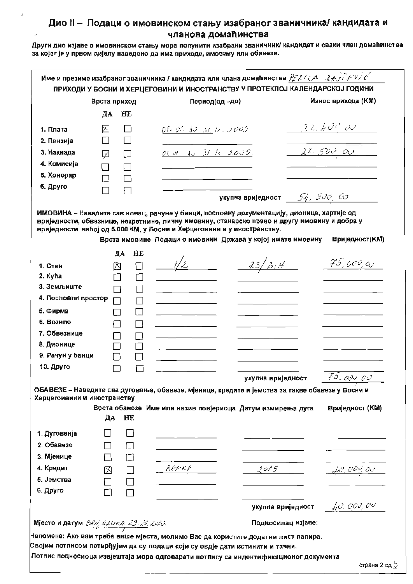|                                                                                                                                     |                       |                       | ПРИХОДИ У БОСНИ И ХЕРЦЕГОВИНИ И ИНОСТРАНСТВУ У ПРОТЕКЛОЈ КАЛЕНДАРСКОЈ ГОДИНИ                                                                                  |                                           |                  | Износ прихода (KM) |
|-------------------------------------------------------------------------------------------------------------------------------------|-----------------------|-----------------------|---------------------------------------------------------------------------------------------------------------------------------------------------------------|-------------------------------------------|------------------|--------------------|
|                                                                                                                                     | Врста приход<br>ДА    | HE                    | Период(од-до)                                                                                                                                                 |                                           |                  |                    |
|                                                                                                                                     |                       |                       |                                                                                                                                                               |                                           |                  |                    |
| 1. Плата                                                                                                                            | ⊠                     | $\Box$                | $01 - 01$ . 10 31. 11. 2005                                                                                                                                   |                                           | <u>32.400 ov</u> |                    |
| 2. Пензија                                                                                                                          |                       |                       |                                                                                                                                                               |                                           |                  |                    |
| 3. Накнада                                                                                                                          | ☑                     |                       | 01 01 10 31 12 2005.                                                                                                                                          |                                           |                  | 22.500.00          |
| 4. Комисија                                                                                                                         |                       |                       |                                                                                                                                                               |                                           |                  |                    |
| 5. Хонорар                                                                                                                          | ┓                     |                       |                                                                                                                                                               |                                           |                  |                    |
| 6. Друго                                                                                                                            |                       |                       |                                                                                                                                                               |                                           |                  |                    |
|                                                                                                                                     |                       |                       |                                                                                                                                                               | укупна вриједност $\frac{f}{f}$ , 900, 00 |                  |                    |
| 1. Стан<br>2. Kyħa<br>3. Земљиште<br>4. Пословни простор<br>5. Фирма<br>6. Возило<br>7. Обвезнице<br>8. Дионице<br>9. Рачун у банци | ⊠<br>H<br>П<br>┐      | $\Box$<br>$\Box$<br>П | 1/2                                                                                                                                                           | 25/314                                    |                  | 75,000,00          |
| 10. Друго                                                                                                                           |                       |                       |                                                                                                                                                               |                                           |                  |                    |
|                                                                                                                                     |                       |                       |                                                                                                                                                               | укупна вриједност                         |                  | 75.00000           |
| Херцегоивини и иностранству                                                                                                         | ДА                    | HE                    | ОБАВЕЗЕ - Наведите сва дуговања, обавезе, мјенице, кредите и јемства за такве обавезе у Босни и<br>Врста обавезе Име или назив повјериоца Датум измирења дуга |                                           |                  | Вриједност (КМ)    |
| 1. Дугованја                                                                                                                        |                       |                       |                                                                                                                                                               |                                           |                  |                    |
| 2. Обавезе                                                                                                                          |                       |                       |                                                                                                                                                               |                                           |                  |                    |
|                                                                                                                                     | $\Box$                | $\Box$                |                                                                                                                                                               |                                           |                  |                    |
|                                                                                                                                     |                       |                       | $B F K K F$                                                                                                                                                   | 2009                                      |                  | 10.00000           |
| 3. Мјенице<br>4. Кредит                                                                                                             | $\boxtimes$ $\square$ |                       |                                                                                                                                                               |                                           |                  |                    |
|                                                                                                                                     |                       |                       |                                                                                                                                                               |                                           |                  |                    |
|                                                                                                                                     | $\Box$                |                       |                                                                                                                                                               |                                           |                  |                    |
| 5. Јемства<br>6. Друго                                                                                                              |                       |                       |                                                                                                                                                               | укупна вриједност                         |                  | 40.00000           |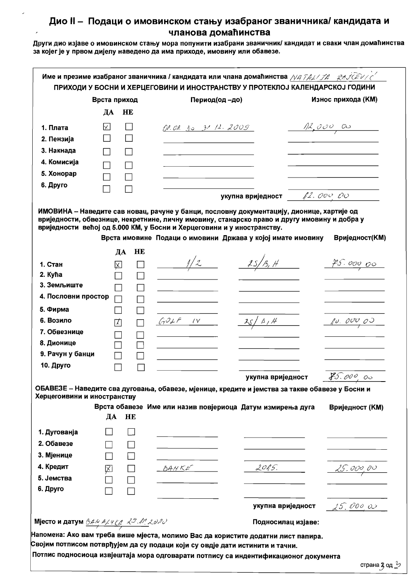Други дио изјаве о имовинском стању мора попунити изабрани званичник/ кандидат и сваки члан домаћинства за којег је у првом дијелу наведено да има приходе, имовину или обавезе.

|                                                    |                    |                          |                                                                                                                                                                                                                                       |                    | ПРИХОДИ У БОСНИ И ХЕРЦЕГОВИНИ И ИНОСТРАНСТВУ У ПРОТЕКЛОЈ КАЛЕНДАРСКОЈ ГОДИНИ<br>Износ прихода (KM) |
|----------------------------------------------------|--------------------|--------------------------|---------------------------------------------------------------------------------------------------------------------------------------------------------------------------------------------------------------------------------------|--------------------|----------------------------------------------------------------------------------------------------|
|                                                    | Врста приход<br>ДА | HE                       | Период(од-до)                                                                                                                                                                                                                         |                    |                                                                                                    |
|                                                    |                    |                          |                                                                                                                                                                                                                                       |                    |                                                                                                    |
| 1. Плата                                           | $\times$           |                          | OP. OR. 10 31 12. 2009                                                                                                                                                                                                                |                    | $\frac{1}{\sqrt{11}}$ , 000 00                                                                     |
| 2. Пензија                                         |                    |                          |                                                                                                                                                                                                                                       |                    |                                                                                                    |
| 3. Накнада                                         |                    |                          |                                                                                                                                                                                                                                       |                    |                                                                                                    |
| 4. Комисија                                        |                    |                          |                                                                                                                                                                                                                                       |                    |                                                                                                    |
| 5. Хонорар                                         |                    |                          |                                                                                                                                                                                                                                       |                    |                                                                                                    |
| 6. Друго                                           |                    |                          |                                                                                                                                                                                                                                       |                    |                                                                                                    |
|                                                    |                    |                          |                                                                                                                                                                                                                                       |                    |                                                                                                    |
|                                                    |                    |                          | вриједности, обвезнице, некретнине, личну имовину, станарско право и другу имовину и добра у<br>вриједности већој од 5.000 КМ, у Босни и Херцеговини и у иностранству.<br>Врста имовине Подаци о имовини Држава у којој имате имовину |                    | Вриједност(КМ)                                                                                     |
|                                                    |                    | HE<br>ДА                 |                                                                                                                                                                                                                                       |                    |                                                                                                    |
| 1. Стан                                            | 図                  |                          | $\frac{1}{2}$                                                                                                                                                                                                                         | 25/13, H           | <u>25.000 00</u>                                                                                   |
| 2. Kyha                                            |                    |                          |                                                                                                                                                                                                                                       |                    |                                                                                                    |
| 3. Земљиште                                        |                    |                          |                                                                                                                                                                                                                                       |                    |                                                                                                    |
| 4. Пословни простор                                |                    |                          |                                                                                                                                                                                                                                       |                    |                                                                                                    |
| 5. Фирма                                           |                    |                          |                                                                                                                                                                                                                                       |                    |                                                                                                    |
| 6. Возило                                          | М                  |                          | $GOLF$ IV                                                                                                                                                                                                                             | 2s/3,4             | 10.00000                                                                                           |
| 7. Обвезнице                                       |                    |                          |                                                                                                                                                                                                                                       |                    |                                                                                                    |
| 8. Дионице                                         |                    |                          |                                                                                                                                                                                                                                       |                    |                                                                                                    |
| 9. Рачун у банци                                   |                    |                          |                                                                                                                                                                                                                                       |                    |                                                                                                    |
| 10. Друго                                          |                    |                          |                                                                                                                                                                                                                                       |                    |                                                                                                    |
| Херцегоивини и иностранству                        | ДА                 | HE                       | ОБАВЕЗЕ - Наведите сва дуговања, обавезе, мјенице, кредите и јемства за такве обавезе у Босни и<br>Врста обавезе Име или назив повјериоца Датум измирења дуга                                                                         | укупна вриједност  | 85.000,00<br>Вриједност (КМ)                                                                       |
|                                                    |                    |                          |                                                                                                                                                                                                                                       |                    |                                                                                                    |
| 1. Дугованја<br>2. Обавезе                         |                    |                          |                                                                                                                                                                                                                                       |                    |                                                                                                    |
| 3. Мјенице                                         |                    |                          |                                                                                                                                                                                                                                       |                    |                                                                                                    |
|                                                    | $\Box$             |                          |                                                                                                                                                                                                                                       |                    |                                                                                                    |
| 4. Кредит<br>5. Јемства                            | 凶                  | $\sim$ 10 $\pm$          | BAKKF                                                                                                                                                                                                                                 | 2015.              | 25.000,00                                                                                          |
|                                                    |                    | $\overline{\phantom{a}}$ |                                                                                                                                                                                                                                       |                    |                                                                                                    |
| 6. Друго                                           |                    |                          |                                                                                                                                                                                                                                       |                    |                                                                                                    |
|                                                    |                    |                          |                                                                                                                                                                                                                                       | укупна вриједност  | 25.00000                                                                                           |
| Мјесто и датум <u>В<i>дм дду ка 29 М. 2020</i></u> |                    |                          |                                                                                                                                                                                                                                       | Подносилац изјаве: |                                                                                                    |
|                                                    |                    |                          |                                                                                                                                                                                                                                       |                    |                                                                                                    |

Потпис подносиоца извјештаја мора одговарати потпису са индентификационог документа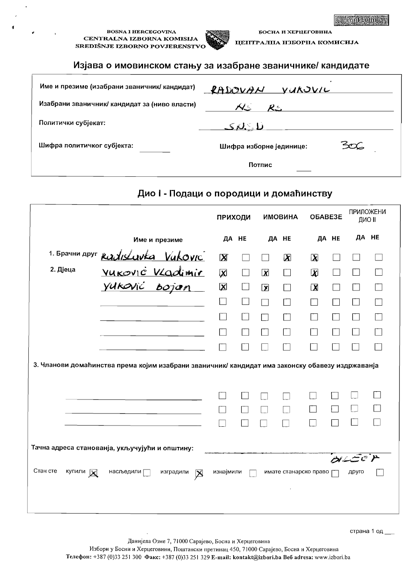#### **BOSNA I HERCEGOVINA** CENTRALNA IZBORNA KOMISIJA SREDIŠNJE IZBORNO POVJERENSTVO



ЦЕНТРАЛЦА НЗБОРНА КОМИСИЈА

БОСНА И ХЕРЦЕГОВИНА

### Изјава о имовинском стању за изабране званичнике/ кандидате

| Име и презиме (изабрани званичник/ кандидат)  | RADOVAN<br><u>VUKOVIL</u>        |
|-----------------------------------------------|----------------------------------|
| Изабрани званичник/ кандидат за (ниво власти) | $\mathcal{N}_{\mathbb{Z}}$<br>やー |
| Политички субјекат:                           | <u>ىلې كىرى </u>                 |
| Шифра политичког субјекта:                    | Шифра изборне јединице:          |
|                                               | Потпис                           |

### Дио I - Подаци о породици и домаћинству

|                      |                                                                                                  | ПРИХОДИ                   |        |                         | <b>ИМОВИНА</b>        |                         | OBABE3E | ПРИЛОЖЕНИ<br>ДИО ІІ |    |
|----------------------|--------------------------------------------------------------------------------------------------|---------------------------|--------|-------------------------|-----------------------|-------------------------|---------|---------------------|----|
|                      | Име и презиме                                                                                    |                           | ДА НЕ  |                         | ДА НЕ                 |                         | ДА НЕ   | ДА НЕ               |    |
|                      | 1. Брачни друг RadisLavka Vukovic                                                                | $\mathbf{X}$              |        |                         | $\mathbf X$           | $\mathbf x$             |         |                     |    |
| 2. Дјеца             | VUKOVIC VLadimir                                                                                 | $\boldsymbol{\mathsf{X}}$ | $\Box$ | $\overline{\mathbf{x}}$ | $\mathbf{I}$          | $\mathbf x$             |         |                     |    |
|                      | yuković bojan                                                                                    | $\mathbf{\overline{X}}$   | $\Box$ | $\overline{\mathbf{X}}$ | $\mathsf{I}$          | $\overline{\mathbf{X}}$ |         | n d                 | I. |
|                      |                                                                                                  | Ū                         | $\Box$ | $\sim 10$               |                       |                         |         |                     | m  |
|                      |                                                                                                  |                           |        | ÷.                      |                       |                         |         | I.                  | П  |
|                      |                                                                                                  |                           |        | b.                      | T.                    |                         |         |                     |    |
|                      |                                                                                                  |                           |        |                         | 7.                    |                         |         |                     |    |
|                      | 3. Чланови домаћинства према којим изабрани званичник/ кандидат има законску обавезу издржаванја |                           |        |                         |                       |                         |         |                     |    |
|                      |                                                                                                  |                           |        |                         |                       |                         |         |                     |    |
|                      |                                                                                                  |                           |        |                         |                       |                         |         |                     |    |
|                      | Тачна адреса станованја, укључујући и општину:                                                   |                           |        |                         |                       |                         |         |                     |    |
| Стан сте<br>купили X | насљедили $\Box$<br>изградили<br>$\boxtimes$                                                     | изнајмили                 |        |                         | имате станарско право |                         |         | シンニ バ<br>друго      |    |

страна 1 од \_

Данијела Озме 7, 71000 Сарајево, Босна и Херцеговина

Избори у Босни и Херцеговини, Поштански претинац 450, 71000 Сарајево, Босна и Херцеговина Телефон: +387 (0)33 251 300 Факс: +387 (0)33 251 329 E-mail: kontakt@izbori.ba Beб adresa: www.izbori.ba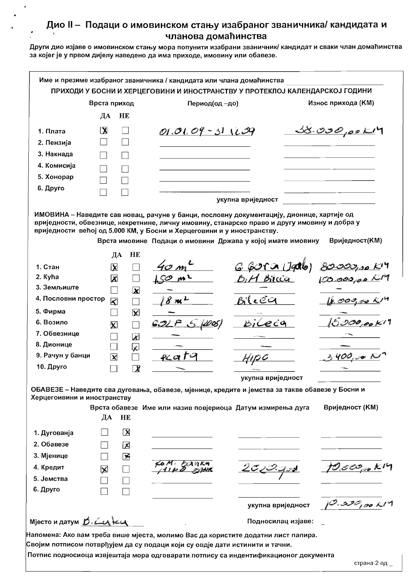|                             | Врста приход              |                             | Период(од-до)                                                          |                                                                                                                                                                                                                                                          | Износ прихода (KM)                         |
|-----------------------------|---------------------------|-----------------------------|------------------------------------------------------------------------|----------------------------------------------------------------------------------------------------------------------------------------------------------------------------------------------------------------------------------------------------------|--------------------------------------------|
|                             | ДА                        | HE                          |                                                                        |                                                                                                                                                                                                                                                          |                                            |
| 1. Плата                    | $\mathbf{X}$              |                             | $01.01.09 - 311.09$                                                    |                                                                                                                                                                                                                                                          | <u>35.000,00K</u> H                        |
| 2. Пензија                  |                           |                             |                                                                        |                                                                                                                                                                                                                                                          |                                            |
| 3. Накнада                  |                           |                             |                                                                        |                                                                                                                                                                                                                                                          |                                            |
| 4. Комисија                 |                           |                             |                                                                        |                                                                                                                                                                                                                                                          |                                            |
| 5. Хонорар                  |                           |                             |                                                                        |                                                                                                                                                                                                                                                          |                                            |
| 6. Друго                    |                           |                             |                                                                        |                                                                                                                                                                                                                                                          |                                            |
|                             |                           |                             |                                                                        | укупна вриједност                                                                                                                                                                                                                                        |                                            |
|                             | ДА                        | HE                          | вриједности већој од 5.000 КМ, у Босни и Херцеговини и у иностранству. | ИМОВИНА - Наведите сав новац, рачуне у банци, пословну документацију, дионице, хартије од<br>вриједности, обвезнице, некретнине, личну имовину, станарско право и другу имовину и добра у<br>Врста имовине Подаци о имовини Држава у којој имате имовину | Вриједност(КМ)                             |
| 1. Стан                     | $\overline{\mathbf{X}}$   |                             |                                                                        | <u>G Gora (Jado)</u>                                                                                                                                                                                                                                     |                                            |
| 2. Kyha                     | ⊠                         |                             |                                                                        | B.H Bilcca                                                                                                                                                                                                                                               |                                            |
| 3. Земљиште                 | $\sim$                    | $\overline{\mathbf{x}}$     |                                                                        |                                                                                                                                                                                                                                                          |                                            |
| 4. Пословни простор         | $\overline{\mathbf{K}}$   | $\sim$                      | $8\,$ m $^{\mathcal{L}}$                                               | Bileea                                                                                                                                                                                                                                                   |                                            |
| 5. Фирма                    |                           | $\mathbf{\overline{X}}$     |                                                                        |                                                                                                                                                                                                                                                          |                                            |
| 6. Возило                   | $\overline{\mathsf{x}}$   |                             |                                                                        | BiCecq                                                                                                                                                                                                                                                   |                                            |
| 7. Обвезнице                |                           | $\overline{\mathbf{x}}$     |                                                                        |                                                                                                                                                                                                                                                          |                                            |
| 8. Дионице                  |                           | $\overline{\mathbf{x}}$     |                                                                        |                                                                                                                                                                                                                                                          |                                            |
| 9. Рачун у банци            | $\boldsymbol{\mathsf{x}}$ |                             | &ato                                                                   |                                                                                                                                                                                                                                                          | 400,001                                    |
| 10. Друго                   |                           | $\overline{\boldsymbol{X}}$ |                                                                        |                                                                                                                                                                                                                                                          |                                            |
|                             |                           |                             |                                                                        | укупна вриједност                                                                                                                                                                                                                                        |                                            |
|                             |                           |                             |                                                                        | ОБАВЕЗЕ - Наведите сва дуговања, обавезе, мјенице, кредите и јемства за такве обавезе у Босни и                                                                                                                                                          |                                            |
| Херцегоивини и иностранству | ДА                        | HE                          |                                                                        | Врста обавезе Име или назив повјериоца Датум измирења дуга                                                                                                                                                                                               | Вриједност (KM)                            |
| 1. Дугованја                |                           | $\mathbf{X}$                |                                                                        |                                                                                                                                                                                                                                                          |                                            |
| 2. Обавезе                  |                           | 区                           |                                                                        |                                                                                                                                                                                                                                                          |                                            |
| 3. Мјенице                  |                           | 乥                           |                                                                        |                                                                                                                                                                                                                                                          |                                            |
| 4. Кредит                   | $\boxtimes$               |                             |                                                                        | 2c/2                                                                                                                                                                                                                                                     | $10.002 \times 10$                         |
| 5. Јемства                  |                           |                             |                                                                        |                                                                                                                                                                                                                                                          |                                            |
| 6. Друго                    |                           |                             |                                                                        |                                                                                                                                                                                                                                                          |                                            |
|                             |                           |                             |                                                                        | укупна вриједност                                                                                                                                                                                                                                        | $1^\mathcal{O}$ . 22 $\mathcal{O}_I$ 90 KM |
|                             |                           |                             |                                                                        |                                                                                                                                                                                                                                                          |                                            |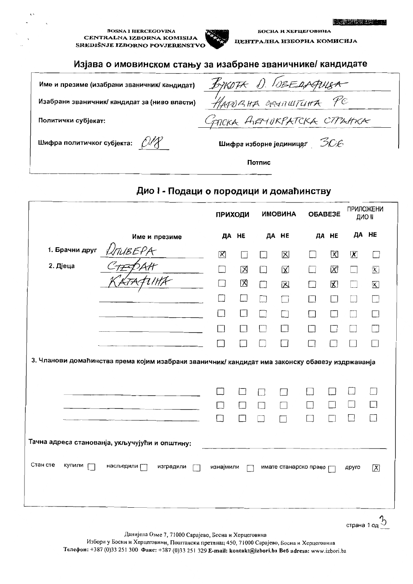#### **BOSNA I HERCEGOVINA** CENTRALNA IZBORNA KOMISIJA SREDIŠNJE IZBORNO POVJERENSTVO



БОСНА И ХЕРЦЕГОВИНА ЦЕНТРАЛНА ИЗБОРНА КОМИСИЈА

#### Изјава о имовинском стању за изабране званичнике/ кандидате

| Име и презиме (изабрани званичник/ кандидат)  | BYKOTA D. OBEAAPLISA             |
|-----------------------------------------------|----------------------------------|
| Изабрани званичник/ кандидат за (ниво власти) | HAPORHA GRUNWTUHA PC             |
| Политички субјекат:                           | GATCKA ALEMUKPATCKA CTPAHKA      |
| Шифра политичког субјекта: $CMX$              | Шифра изборне јединице $z = 306$ |
|                                               | Потпис                           |

## Дио I - Подаци о породици и домаћинству

|                    |                                                                                                  | <b>ПРИХОДИ</b>              |        |        | <b>ИМОВИНА</b>        | OBABE3E |                                                                     | <b>ПРИЛОЖЕНИ</b><br>ДИО ІІ  |                         |
|--------------------|--------------------------------------------------------------------------------------------------|-----------------------------|--------|--------|-----------------------|---------|---------------------------------------------------------------------|-----------------------------|-------------------------|
|                    | Име и презиме                                                                                    | ДА НЕ                       |        | ДА НЕ  |                       |         | ДА НЕ                                                               | ДА НЕ                       |                         |
| 1. Брачни друг     | UTUBEPA                                                                                          | 図                           | $\Box$ | Н      | 区                     |         | $\mathsf{X}% _{0}^{X\rightarrow\mathsf{X}}\left( \mathsf{X}\right)$ | $\chi$                      | $\Box$                  |
| 2. Дјеца           |                                                                                                  | $\mathcal{L}_{\mathcal{A}}$ | 区      | $\Box$ | $\boxtimes$           |         | 図                                                                   | $\mathcal{L}_{\mathcal{A}}$ | $\overline{\mathsf{X}}$ |
|                    |                                                                                                  | П                           | 区      | П      | 区                     |         | K                                                                   |                             | $\mathsf{\overline{X}}$ |
|                    |                                                                                                  | ×.                          | $\Box$ | П      | $\Box$                | П       | П                                                                   |                             | П                       |
|                    |                                                                                                  | $\overline{\phantom{0}}$    | $\Box$ | n.     |                       | $\Box$  | $\sim$                                                              |                             | П                       |
|                    |                                                                                                  | $\overline{\phantom{a}}$    | П      | П      | П                     | П       |                                                                     |                             |                         |
|                    |                                                                                                  |                             |        |        | $\sim$                | П       |                                                                     |                             |                         |
|                    | 3. Чланови домаћинства према којим изабрани званичник/ кандидат има законску обавезу издржаванја |                             |        |        |                       |         |                                                                     |                             |                         |
|                    |                                                                                                  |                             |        |        |                       |         |                                                                     |                             |                         |
|                    |                                                                                                  |                             |        |        |                       |         |                                                                     |                             |                         |
|                    |                                                                                                  | m.                          |        | $\Box$ |                       | ×.      |                                                                     |                             |                         |
|                    |                                                                                                  |                             |        |        |                       |         |                                                                     |                             |                         |
|                    | Тачна адреса станованја, укључујући и општину:                                                   |                             |        |        |                       |         |                                                                     |                             |                         |
| Стан сте<br>Купили | насљедили Г<br>изградили                                                                         | изнајмили                   |        |        | имате станарско право |         |                                                                     | друго                       | $\overline{\mathsf{X}}$ |
|                    |                                                                                                  |                             |        |        |                       |         |                                                                     |                             |                         |

страна 1 од 5

Данијела Озме 7, 71000 Сарајево, Босна и Херцеговина

Избори у Босни и Херцеговини, Поштански претинац 450, 71000 Сарајево, Босна и Херцеговина Телефон: +387 (0)33 251 300 Факс: +387 (0)33 251 329 E-mail: kontakt@izbori.ba Beб adresa: www.izbori.ba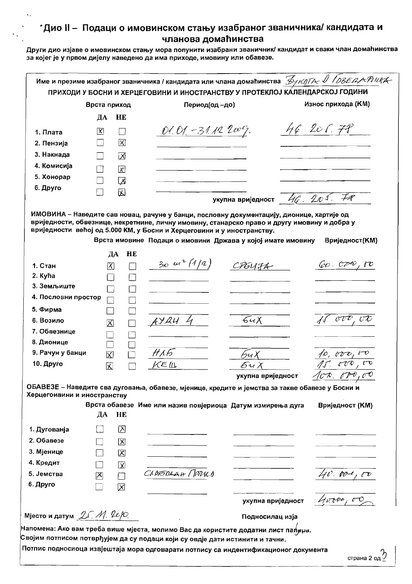|                                | Врста приход            |                         | Период(од-до)                                                                                                                         |                                | Износ прихода (КМ)    |
|--------------------------------|-------------------------|-------------------------|---------------------------------------------------------------------------------------------------------------------------------------|--------------------------------|-----------------------|
|                                | ДА                      | HE                      |                                                                                                                                       |                                |                       |
| 1. Плата                       | 冈                       |                         | Ol. O1. - 31.12 2007.                                                                                                                 |                                | H62067                |
| 2. Пензија                     |                         | 区                       |                                                                                                                                       |                                |                       |
| 3. Накнада                     |                         | ⊠                       |                                                                                                                                       |                                |                       |
| 4. Комисија                    |                         |                         |                                                                                                                                       |                                |                       |
| 5. Хонорар                     |                         | $\overline{\mathsf{x}}$ |                                                                                                                                       |                                |                       |
| 6. Друго                       |                         | 兦                       |                                                                                                                                       |                                |                       |
|                                |                         | 囚                       |                                                                                                                                       | укупна вриједност $-46.201.78$ |                       |
|                                | ДА                      | HE                      | вриједности већој од 5.000 КМ, у Босни и Херцеговини и у иностранству.<br>Врста имовине Подаци о имовини Држава у којој имате имовину |                                | Вриједност(КМ)        |
| 1. Стан                        | $\vert X \vert$         |                         | $30 \mu^2$ (1/2)                                                                                                                      | CREUTA                         | $\omega \circ \sigma$ |
| 2. Kyħa                        |                         |                         |                                                                                                                                       |                                |                       |
| 3. Земљиште                    |                         |                         |                                                                                                                                       |                                |                       |
| 4. Пословни простор            |                         |                         |                                                                                                                                       |                                |                       |
| 5. Фирма                       |                         |                         |                                                                                                                                       |                                |                       |
| 6. Возило                      | $\overline{\mathsf{x}}$ |                         | $AYAU$ 4                                                                                                                              | 64X                            | $\sqrt{1}$ ove.       |
| 7. Обвезнице                   |                         |                         |                                                                                                                                       |                                |                       |
| 8. Дионице<br>9. Рачун у банци |                         |                         | $H\Lambda 5$                                                                                                                          |                                |                       |
| 10. Друго                      | $\boxtimes$             |                         | KEЩ                                                                                                                                   | $\beta$ и Х<br>Би)             |                       |
|                                | 冈                       |                         |                                                                                                                                       | укупна вриједност              |                       |
|                                |                         |                         |                                                                                                                                       |                                |                       |
| Херцегоивини и иностранству    |                         |                         | ОБАВЕЗЕ - Наведите сва дуговања, обавезе, мјенице, кредите и јемства за такве обавезе у Босни и                                       |                                |                       |
|                                | ДА                      | HE                      | Врста обавезе Име или назив повјериоца Датум измирења дуга                                                                            |                                | Вриједност (КМ)       |
| 1. Дугованја                   |                         | ⊠                       |                                                                                                                                       |                                |                       |
| 2. Обавезе                     |                         | 区                       |                                                                                                                                       |                                |                       |
| 3. Мјенице                     |                         | 区                       |                                                                                                                                       |                                |                       |
| 4. Кредит                      |                         | $\overline{\mathbf{X}}$ |                                                                                                                                       |                                |                       |
| 5. Јемства                     | 区                       |                         | CADFORAH / TORKO                                                                                                                      |                                | 40.001, 60            |
| 6. Друго                       |                         | $\boxtimes$             |                                                                                                                                       |                                |                       |
|                                |                         |                         |                                                                                                                                       | укупна вриједност              | 40000,00              |
|                                |                         |                         |                                                                                                                                       |                                |                       |
| Мјесто и датум $24.$ М. $200.$ |                         |                         |                                                                                                                                       | Подносилац изја                |                       |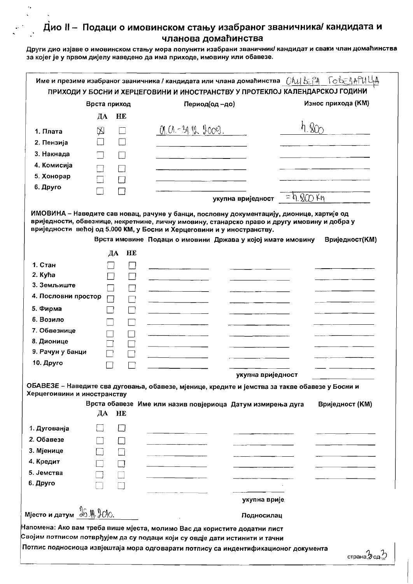$\epsilon$ 

|                                                                                                 | Врста приход |    | Период(од -до)                                                                                                                                                                                                                                                                                                                                                                                                                                 |                   | Износ прихода (КМ) |
|-------------------------------------------------------------------------------------------------|--------------|----|------------------------------------------------------------------------------------------------------------------------------------------------------------------------------------------------------------------------------------------------------------------------------------------------------------------------------------------------------------------------------------------------------------------------------------------------|-------------------|--------------------|
|                                                                                                 | ДА           | HE |                                                                                                                                                                                                                                                                                                                                                                                                                                                |                   |                    |
| 1. Плата                                                                                        | $\boxtimes$  |    | 09.01-39.11. 2009.                                                                                                                                                                                                                                                                                                                                                                                                                             |                   |                    |
| 2. Пензија                                                                                      |              |    |                                                                                                                                                                                                                                                                                                                                                                                                                                                |                   |                    |
| 3. Накнада                                                                                      |              |    |                                                                                                                                                                                                                                                                                                                                                                                                                                                |                   |                    |
| 4. Комисија                                                                                     |              |    |                                                                                                                                                                                                                                                                                                                                                                                                                                                |                   |                    |
| 5. Хонорар                                                                                      |              |    |                                                                                                                                                                                                                                                                                                                                                                                                                                                |                   |                    |
| 6. Друго                                                                                        |              |    |                                                                                                                                                                                                                                                                                                                                                                                                                                                |                   |                    |
|                                                                                                 |              |    | укупна вриједност                                                                                                                                                                                                                                                                                                                                                                                                                              | $=$ h. ROO Km     |                    |
| 1. Стан<br>2. Kyħa<br>3. Земљиште<br>4. Пословни простор                                        |              |    |                                                                                                                                                                                                                                                                                                                                                                                                                                                |                   |                    |
| 5. Фирма<br>6. Возило                                                                           |              |    |                                                                                                                                                                                                                                                                                                                                                                                                                                                |                   |                    |
| 7. Обвезнице                                                                                    |              |    |                                                                                                                                                                                                                                                                                                                                                                                                                                                |                   |                    |
| 8. Дионице                                                                                      |              |    |                                                                                                                                                                                                                                                                                                                                                                                                                                                |                   |                    |
| 9. Рачун у банци                                                                                |              |    |                                                                                                                                                                                                                                                                                                                                                                                                                                                |                   |                    |
| 10. Друго                                                                                       |              |    |                                                                                                                                                                                                                                                                                                                                                                                                                                                |                   |                    |
|                                                                                                 |              |    |                                                                                                                                                                                                                                                                                                                                                                                                                                                | укупна вриједност |                    |
|                                                                                                 |              |    | ОБАВЕЗЕ - Наведите сва дуговања, обавезе, мјенице, кредите и јемства за такве обавезе у Босни и                                                                                                                                                                                                                                                                                                                                                |                   |                    |
| Херцегоивини и иностранству                                                                     |              |    | Врста обавезе Име или назив повјериоца Датум измирења дуга                                                                                                                                                                                                                                                                                                                                                                                     |                   | Вриједност (КМ)    |
|                                                                                                 | ДА<br>HE     |    |                                                                                                                                                                                                                                                                                                                                                                                                                                                |                   |                    |
| 1. Дугованја                                                                                    |              |    |                                                                                                                                                                                                                                                                                                                                                                                                                                                |                   |                    |
| 2. Обавезе                                                                                      |              |    |                                                                                                                                                                                                                                                                                                                                                                                                                                                |                   |                    |
| 3. Мјенице                                                                                      |              |    |                                                                                                                                                                                                                                                                                                                                                                                                                                                |                   |                    |
| 4. Кредит                                                                                       |              |    |                                                                                                                                                                                                                                                                                                                                                                                                                                                |                   |                    |
| 5. Јемства                                                                                      |              |    |                                                                                                                                                                                                                                                                                                                                                                                                                                                |                   |                    |
|                                                                                                 |              |    |                                                                                                                                                                                                                                                                                                                                                                                                                                                |                   |                    |
|                                                                                                 |              |    | $\frac{1}{2} \left( \frac{1}{2} \right) = \frac{1}{2} \left( \frac{1}{2} \right) = \frac{1}{2} \left( \frac{1}{2} \right) = \frac{1}{2} \left( \frac{1}{2} \right) = \frac{1}{2} \left( \frac{1}{2} \right) = \frac{1}{2} \left( \frac{1}{2} \right) = \frac{1}{2} \left( \frac{1}{2} \right) = \frac{1}{2} \left( \frac{1}{2} \right) = \frac{1}{2} \left( \frac{1}{2} \right) = \frac{1}{2} \left( \frac{1}{2} \right) = \frac{1}{2} \left($ |                   |                    |
|                                                                                                 |              |    |                                                                                                                                                                                                                                                                                                                                                                                                                                                | укупна врије      |                    |
| 6. Друго                                                                                        |              |    |                                                                                                                                                                                                                                                                                                                                                                                                                                                |                   |                    |
| $M$ Mjecto <i>u</i> датум $\frac{1}{2}$ $\frac{1}{2}$ $\frac{1}{2}$ $\frac{1}{2}$ $\frac{1}{2}$ |              |    |                                                                                                                                                                                                                                                                                                                                                                                                                                                | Подносилац        |                    |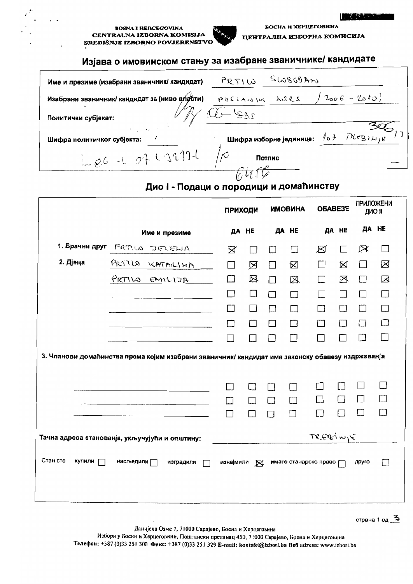**BOSNA I HERCEGOVINA** CENTRALNA IZBORNA KOMISIJA SREDIŠNJE IZBORNO POVJERENSTVO



БОСНА И ХЕРЦЕГОВИНА ЦЕНТРАЛНА ИЗБОРНА КОМИСИЈА

# Изјава о имовинском стању за изабране званичнике/ кандидате

| Име и презиме (изабрани званичник/ кандидат)                                            | $56800$ An<br>PRTIW                                                                             |
|-----------------------------------------------------------------------------------------|-------------------------------------------------------------------------------------------------|
| Изабрани званичник/ кандидат за (ниво власти)                                           | $12006 - 2010$<br>POSCANIVE NSCS                                                                |
| Политички субјекат:                                                                     |                                                                                                 |
| $\mathcal{L}_{\text{max}}$ and $\mathcal{L}_{\text{max}}$<br>Шифра политичког субјекта: | Шифра изборне јединице: $\sqrt{0}$ $\rightarrow$ $\sqrt{2}$ $\sqrt{2}$ $\rightarrow$ $\sqrt{6}$ |
| Length at of Larisle $\sqrt{\rho}$                                                      | Потпис                                                                                          |
|                                                                                         |                                                                                                 |

### Дио I - Подаци о породици и домаћинству

|                    |                                                                                                  | <b>ПРИХОДИ</b> |              |             | <b>ИМОВИНА</b>        |             | OБABE3E      | ДИО И                    | <b>ПРИЛОЖЕНИ</b> |
|--------------------|--------------------------------------------------------------------------------------------------|----------------|--------------|-------------|-----------------------|-------------|--------------|--------------------------|------------------|
|                    | Име и презиме                                                                                    |                | <b>ДА НЕ</b> |             | ДА НЕ                 |             | <b>ДА НЕ</b> | ДА НЕ                    |                  |
| 1. Брачни друг     | PRTILO<br>コミドヒル                                                                                  | ⊠              | П            | $\Box$      | П                     | ⊠           | П            | ⊠                        | $\Box$           |
| 2. Дјеца           | PRITLA<br>KATARINA                                                                               | П              | 区            | □           | 区                     | $\Box$      | ⊠            | $\mathbf{1}$             | ⊠                |
|                    | PRTILO EMILIJA                                                                                   | $\Box$         | 区            | $\Box$      | $\boxtimes$           | $\Box$      | $\boxtimes$  | $\Box$                   | $\boxtimes$      |
|                    |                                                                                                  | $\Box$         | $\Box$       | $\Box$      | П                     | $\Box$      | П            | $\Box$                   | $\Box$           |
|                    |                                                                                                  |                | $\Box$       | $\Box$      | $\Box$                | П           | $\Box$       | □                        | $\Box$           |
|                    |                                                                                                  | П              | □            | $\Box$      | $\Box$                | г           | □            | $\Box$                   | $\Box$           |
|                    |                                                                                                  |                | $\Box$       | □           | П                     | Ш           | П            | П                        | П                |
|                    | 3. Чланови домаћинства према којим изабрани званичник/ кандидат има законску обавезу издржаванја |                |              |             |                       |             |              |                          |                  |
|                    |                                                                                                  | П              | П            | П<br>$\Box$ | Ш<br>П                | $\sim$<br>П | П<br>$\Box$  | $\blacksquare$<br>$\Box$ | $\Box$<br>k.     |
|                    |                                                                                                  |                |              | $\Box$      |                       | □           | □            | П                        | m                |
|                    | Тачна адреса станованја, укључујући и општину:                                                   |                |              |             |                       | TREYSINIE   |              |                          |                  |
| Стан сте<br>Купили | насљедили $\sqcap$<br>изградили                                                                  | изнајмили      | $\boxtimes$  |             | имате станарско право |             |              | Apyro                    | $\Box$           |

страна 1 од ప

Данијела Озме 7, 71000 Сарајево, Босна и Херцеговина

Избори у Босни и Херцеговини, Поштански претинац 450, 71000 Сарајево, Босна и Херцеговина Телефон: +387 (0)33 251 300 Факс: +387 (0)33 251 329 E-mail: kontakt@izbori.ba Beб adresa: www.izbori.ba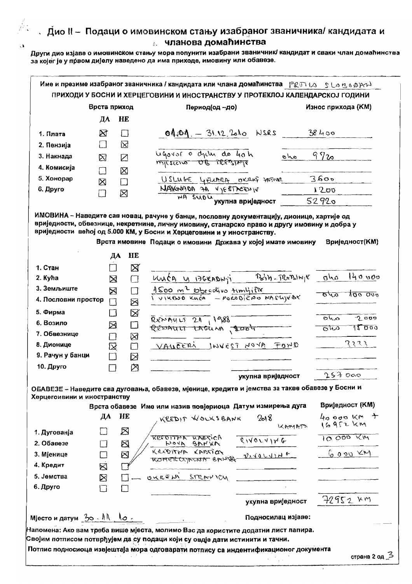$\epsilon$  1

|                                             | Врста приход                      |                         | Период(од -до)                                                                                                                                                                             | Износ прихода (КМ)             |
|---------------------------------------------|-----------------------------------|-------------------------|--------------------------------------------------------------------------------------------------------------------------------------------------------------------------------------------|--------------------------------|
|                                             | ДА                                | HE                      |                                                                                                                                                                                            |                                |
| 1. Плата                                    | $\boxtimes$                       | $\Box$                  | $04.04 = 31.12.200$ NSRS                                                                                                                                                                   | 38400                          |
| 2. Пензија                                  | П                                 | ⊠                       |                                                                                                                                                                                            |                                |
| 3. Накнада                                  | ⊠                                 | Ø                       | ugovor o dyche do 40h<br>alo<br>micsions OB TRESINTE                                                                                                                                       | 9720                           |
| 4. Комисија                                 | ┐                                 | ⊠                       |                                                                                                                                                                                            |                                |
| 5. Хонорар                                  | ⊠                                 | $\Box$                  | USLINGE LAEUARA OXRUS SASIVAL                                                                                                                                                              | 3600                           |
| 6. Друго                                    |                                   | ⊠                       | NAVEWADD AA VIESTAGENIE                                                                                                                                                                    | 1200                           |
|                                             |                                   |                         | <b>WA SUDU УКУПНА ВРИЈЕДНОСТ</b>                                                                                                                                                           | 52920                          |
| 1. Стан                                     |                                   | HE<br>ДА<br>$\boxtimes$ |                                                                                                                                                                                            |                                |
| 2. Kyha                                     |                                   |                         | $\mathcal{P}_{\mathbf{S}}(\boldsymbol{\eta},\boldsymbol{\eta})=\mathcal{P}(\boldsymbol{\eta}\mathcal{P}_{\mathbf{S}}(\boldsymbol{\eta})\boldsymbol{\kappa})\mathcal{P}(\boldsymbol{\eta})$ | 140000<br>als                  |
| 3. Земљиште                                 | $\boxtimes$                       | П                       | <u>Kusca y Baraowji</u>                                                                                                                                                                    |                                |
| 4. Пословни простор                         | ⊠<br>П                            | П<br>$\boxtimes$        | 1500 m <sup>2</sup> Obradivo timlinie<br>1 viktuo kuda - Pokobično Maslijesk                                                                                                               | 100 000<br><b>870</b>          |
| 5. Фирма                                    | - 1                               | Ø                       |                                                                                                                                                                                            | 2000<br>$\overline{\alpha\mu}$ |
| 6. Возило                                   | ⊠                                 | $\Box$                  | $Rx \sim 0.411520$ , $1988$<br>REDAULT LAGUNA , 2004                                                                                                                                       | 15000<br>তাত                   |
| 7. Обвезнице                                | $\Box$                            | 図                       |                                                                                                                                                                                            |                                |
| 8. Дионице                                  | $\boxtimes$                       | $\Box$                  | VAUCERI INVEST NOYA FOND                                                                                                                                                                   | てょてき                           |
| 9. Рачун у банци                            |                                   | ⊠                       |                                                                                                                                                                                            |                                |
| 10. Друго                                   |                                   | 囟                       |                                                                                                                                                                                            |                                |
|                                             |                                   |                         | укупна вриједност                                                                                                                                                                          | 253000                         |
| Херцегоивини и иностранству                 |                                   |                         | ОБАВЕЗЕ - Наведите сва дуговања, обавезе, мјенице, кредите и јемства за такве обавезе у Босни и                                                                                            |                                |
|                                             |                                   |                         | Врста обавезе Име или назив повјериоца Датум измирења дуга                                                                                                                                 | Вриједност (KM)                |
|                                             | ДА                                | HE                      | 2018<br>KREDIT WOLKSBANK<br>KAMATA                                                                                                                                                         | $40000$ KM $+$<br>$16952$ km   |
| 1. Дугованја<br>2. Обавезе                  |                                   | $\boxtimes$             | RESOLLER KVESICH<br>811074148                                                                                                                                                              | 10000 KM                       |
| 3. Мјенице                                  | П                                 | ⊠                       | HOYA BANKA<br>KREDITTER KANSTER                                                                                                                                                            | 600029                         |
| 4. Кредит                                   | $\Box$<br>$\overline{\mathbb{R}}$ | $\boxtimes$             | MOMERCOMENT BRUSS DIVOLUINE                                                                                                                                                                |                                |
| 5. Јемства                                  |                                   |                         | OUREN STRAYION                                                                                                                                                                             |                                |
|                                             | $\boxtimes$<br>Π                  | $\mathsf{L}$            |                                                                                                                                                                                            |                                |
|                                             |                                   |                         | укупна вриједност                                                                                                                                                                          | 72952 KM                       |
|                                             |                                   |                         |                                                                                                                                                                                            |                                |
| 6. Друго<br>Mjecтo и датум $30.11$ , $10.7$ |                                   |                         | Подносилац изјаве:                                                                                                                                                                         |                                |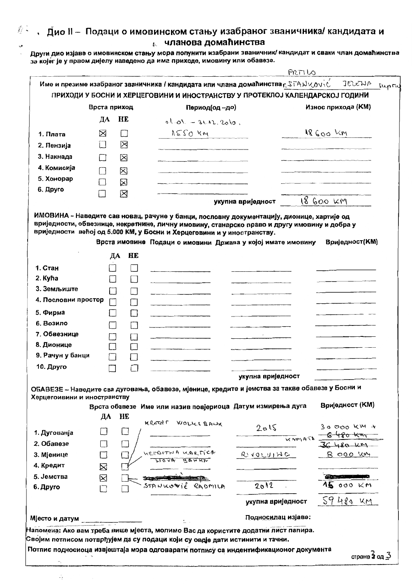## $\mathbb{R}^{\mathbb{Z}}$  , Дио II – Подаци о имовинском стању изабраног званичника/ кандидата и **иланова домаћинства** Други дио изјаве о имовинском стању мора попунити изабрани званичник/ кандидат и сваки члан домаћинства

за којег је у првом дијелу наведено да има приходе, имовину или обавезе.

پ

 $\mathbb{Z}_2$ 

|                                                                                                                     |                          |                   |                                                                                                                                                                                                                                            |                    | PRITI LO                                           |
|---------------------------------------------------------------------------------------------------------------------|--------------------------|-------------------|--------------------------------------------------------------------------------------------------------------------------------------------------------------------------------------------------------------------------------------------|--------------------|----------------------------------------------------|
|                                                                                                                     |                          |                   | Име и презиме изабраног званичника / кандидата или члана домаћинства р ЗТАНУ омас                                                                                                                                                          |                    | JELENA<br>Eupon                                    |
|                                                                                                                     |                          |                   | ПРИХОДИ У БОСНИ И ХЕРЦЕГОВИНИ И ИНОСТРАНСТВУ У ПРОТЕКЛОЈ КАЛЕНДАРСКОЈ ГОДИНИ                                                                                                                                                               |                    |                                                    |
|                                                                                                                     | Врста приход             |                   | Период(од -до)                                                                                                                                                                                                                             |                    | Износ прихода (КМ)                                 |
|                                                                                                                     | ДА                       | HE                | $0^{10}$ O1. - 31.12.2010.                                                                                                                                                                                                                 |                    |                                                    |
| 1. Плата                                                                                                            | ⊠                        | $\Box$            | $NSTO$ km                                                                                                                                                                                                                                  |                    | $18600$ km                                         |
| 2. Пензија                                                                                                          |                          | ⊠                 |                                                                                                                                                                                                                                            |                    |                                                    |
| 3. Накнада                                                                                                          |                          | ⊠                 |                                                                                                                                                                                                                                            |                    |                                                    |
| 4. Комисија                                                                                                         |                          | ⊠                 |                                                                                                                                                                                                                                            |                    |                                                    |
| 5. Хонорар                                                                                                          |                          | ⊠                 |                                                                                                                                                                                                                                            |                    |                                                    |
| 6. Друго                                                                                                            |                          | ⊠                 |                                                                                                                                                                                                                                            |                    |                                                    |
|                                                                                                                     |                          |                   |                                                                                                                                                                                                                                            | укупна вриједност  | 18 600 KM                                          |
|                                                                                                                     | ДА                       | HE                | вриједности већој од 5.000 КМ, у Босни и Херцеговини и у иностранству.<br>Врста имовине Подаци о имовини Држава у којој имате имовину                                                                                                      |                    | Вриједност(KM)                                     |
| 1. Стан                                                                                                             | Π                        |                   |                                                                                                                                                                                                                                            |                    |                                                    |
| 2. Kyħa                                                                                                             | $\overline{\phantom{a}}$ | $\Box$            |                                                                                                                                                                                                                                            |                    |                                                    |
| 3. Земљиште                                                                                                         | П                        | $\vert \ \ \vert$ |                                                                                                                                                                                                                                            |                    |                                                    |
| 4. Пословни простор                                                                                                 | П                        | $\mathbf{1}$      |                                                                                                                                                                                                                                            |                    |                                                    |
| 5. Фирма                                                                                                            |                          |                   |                                                                                                                                                                                                                                            |                    |                                                    |
| 6. Возило                                                                                                           | $\overline{\phantom{a}}$ | $\Box$            |                                                                                                                                                                                                                                            |                    |                                                    |
| 7. Обвезнице                                                                                                        | 7                        | Ł                 |                                                                                                                                                                                                                                            |                    |                                                    |
| 8. Дионице                                                                                                          |                          |                   | <b><i>Contract Contract Contract Contract Contract Contract Contract Contract Contract Contract Contract Contract Contract Contract Contract Contract Contract Contract Contract Contract Contract Contract Contract Contract Cont</i></b> |                    |                                                    |
| 9. Рачун у банци                                                                                                    |                          |                   |                                                                                                                                                                                                                                            |                    |                                                    |
| 10. Друго                                                                                                           |                          |                   |                                                                                                                                                                                                                                            |                    |                                                    |
|                                                                                                                     |                          |                   |                                                                                                                                                                                                                                            | укупна вриједност  |                                                    |
| Херцегоивини и иностранству                                                                                         |                          |                   | ОБАВЕЗЕ - Наведите сва дуговања, обавезе, мјенице, кредите и јемства за такве обавезе у Босни и                                                                                                                                            |                    |                                                    |
|                                                                                                                     |                          |                   | Врста обавезе Име или назив повјериоца Датум измирења дуга                                                                                                                                                                                 |                    | <b>Вриједност (KM)</b>                             |
|                                                                                                                     | ДА                       | HE                | KREENT WOLLERANK                                                                                                                                                                                                                           |                    |                                                    |
|                                                                                                                     |                          |                   |                                                                                                                                                                                                                                            |                    | $30000$ km +<br>$\frac{2015}{x^{2}+80}$ 30000 KM + |
|                                                                                                                     |                          |                   |                                                                                                                                                                                                                                            |                    | $36480 - k$                                        |
|                                                                                                                     |                          |                   |                                                                                                                                                                                                                                            |                    |                                                    |
|                                                                                                                     | $\Box$                   |                   | WEEDITHA WARTICA                                                                                                                                                                                                                           | R110U1H6           | 8 000 KM                                           |
|                                                                                                                     | ⊠                        |                   | WORK BANKE                                                                                                                                                                                                                                 |                    |                                                    |
|                                                                                                                     | ⊠                        |                   |                                                                                                                                                                                                                                            |                    | <b>Communication</b>                               |
|                                                                                                                     |                          |                   | STANKOVIE RADMILA                                                                                                                                                                                                                          | 2012               | $4500$ KM                                          |
|                                                                                                                     |                          |                   |                                                                                                                                                                                                                                            | укупна вриједност  | $59$ 480 KM                                        |
| 1. Дугованја<br>2. Обавезе<br>3. Мјенице<br>4. Кредит<br>5. Јемства<br>6. Друго<br>Мјесто и датум _________________ |                          |                   |                                                                                                                                                                                                                                            | Подносилац изјаве: |                                                    |

страна 2 од  $\geq$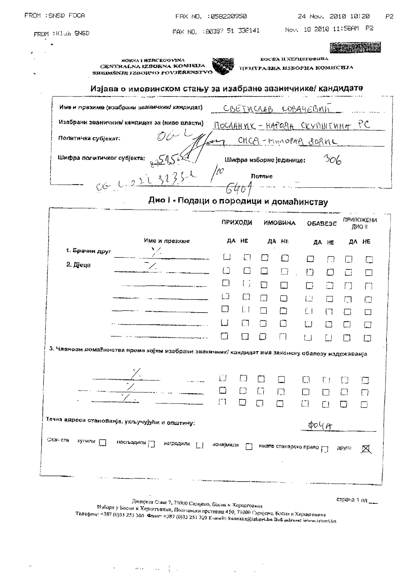|  |  | FROM :SNSD FOCA |  |
|--|--|-----------------|--|
|--|--|-----------------|--|

18.2010. 2320441 Nov. 18.2010. 11:56AM P2

|                                                | Изјава о имовинском стању за изабране званичнике/ кандидате                                      |                                                |         |                                                       |                             |                                                   |         |                 |                       |
|------------------------------------------------|--------------------------------------------------------------------------------------------------|------------------------------------------------|---------|-------------------------------------------------------|-----------------------------|---------------------------------------------------|---------|-----------------|-----------------------|
|                                                | Име и празиме (изабрани званичним кандидат)                                                      |                                                |         |                                                       | <u>CBEINCRAB KOBA4EBVIN</u> |                                                   |         |                 |                       |
|                                                | Изабрани званичник кандидат за (ниво власти)                                                     | <u> NOCAAHNK - HAPOPA CKYNUITUMA PC</u>        |         |                                                       |                             |                                                   |         |                 |                       |
| Политички субјекат:                            |                                                                                                  |                                                |         |                                                       | CHCP-MMNOPAP BOPINC         |                                                   |         |                 |                       |
| Шифра политичког субјекта:                     |                                                                                                  |                                                |         |                                                       | Шифра изборне јединице:     |                                                   | 306     |                 |                       |
|                                                | 06 4.022 32352 po                                                                                |                                                |         | nornue                                                |                             |                                                   |         |                 |                       |
|                                                | Дио I - Подаци о породици и домаћинству                                                          |                                                |         |                                                       |                             |                                                   |         |                 |                       |
|                                                |                                                                                                  |                                                |         |                                                       |                             |                                                   |         | ПРИЛОЖЕНИ       |                       |
|                                                |                                                                                                  |                                                | ПРИХОДИ |                                                       | <b>ИМОВИНА</b>              |                                                   | обавезе |                 | дио п                 |
| 1. Брачни друг                                 | Име и презиме                                                                                    |                                                | да не   |                                                       | AA HE                       |                                                   | ДA НЕ   |                 | ДА НЕ                 |
| 2. Дјеца                                       |                                                                                                  |                                                | ្តា     |                                                       | m                           |                                                   | 冂       |                 | $\Box$                |
|                                                |                                                                                                  | Ű<br>ㅁ                                         | □<br>13 | $\Box$<br>$\Box$                                      | $\Box$                      | U                                                 | □       | ā               | П                     |
|                                                |                                                                                                  | IJ                                             | СJ      | П                                                     | $\Box$<br>n                 | П<br>已                                            | n       | n               | ֧ׅ֩֟׀֟ <sup>֟</sup> ׀ |
|                                                |                                                                                                  | □                                              | IJ      | П                                                     | $\Box$                      | $\left\{ \begin{array}{c} 1 \end{array} \right\}$ | Œ       | П<br>ᆷ          | 口<br>$\Box$           |
|                                                |                                                                                                  | أسأ                                            | m       | П                                                     |                             | L.I                                               | П       | $\Box$          | 囗                     |
|                                                |                                                                                                  | П                                              | 1 I     |                                                       | n                           | ا…ا                                               | L.I     |                 |                       |
|                                                | 3. Чланови домаћинства прима којим изабрани званичник/ кандидат има законску обавезу издржаванја |                                                |         |                                                       |                             |                                                   |         |                 |                       |
|                                                |                                                                                                  |                                                |         |                                                       |                             |                                                   |         |                 |                       |
|                                                |                                                                                                  | IJ                                             |         |                                                       |                             | L.                                                | じょ      |                 | $\Box$                |
|                                                |                                                                                                  | $\Box$                                         | $\Box$  | $\bigcap_{i=1}^n$                                     | $\Box$ .                    | $\Box$                                            |         | $\Box$          | $\Box$                |
|                                                |                                                                                                  | $\begin{bmatrix} 1 & 1 \\ 1 & 1 \end{bmatrix}$ | $\Box$  | Ω                                                     | $\Box$                      | $\Box$                                            |         |                 | Γi                    |
| Тачна вдреса станованја, укључујући и општину: |                                                                                                  |                                                |         |                                                       |                             | 004A                                              |         |                 |                       |
| Стането<br>кунили [                            |                                                                                                  |                                                |         |                                                       |                             |                                                   |         |                 |                       |
|                                                | настьодили [ ] изградили [ ] изнајмили [ ] имате станарско право                                 |                                                |         |                                                       |                             |                                                   |         | друго           | ⊠                     |
|                                                |                                                                                                  |                                                |         |                                                       |                             |                                                   |         |                 |                       |
|                                                |                                                                                                  |                                                |         |                                                       |                             |                                                   |         |                 |                       |
|                                                |                                                                                                  |                                                |         | Данијела Ставе 7, 71000 Саријево, Босна в Хорцеговица |                             |                                                   |         | страна 1 од ___ |                       |

 $\label{eq:2.1} \mathcal{L}(\mathcal{L}(\mathcal{L}(\mathcal{L}(\mathcal{L}(\mathcal{L}(\mathcal{L}(\mathcal{L}(\mathcal{L}(\mathcal{L}(\mathcal{L}(\mathcal{L}(\mathcal{L}(\mathcal{L}(\mathcal{L}(\mathcal{L}(\mathcal{L}(\mathcal{L}(\mathcal{L}(\mathcal{L}(\mathcal{L}(\mathcal{L}(\mathcal{L}(\mathcal{L}(\mathcal{L}(\mathcal{L}(\mathcal{L}(\mathcal{L}(\mathcal{L}(\mathcal{L}(\mathcal{L}(\mathcal{L}(\mathcal{L}(\mathcal{L}(\mathcal{L}(\$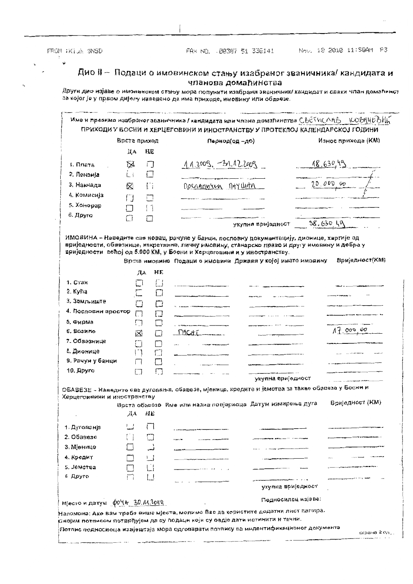FEON IKINN SNSD

 $\ddot{\bullet}$ 

FAX NO. 00387 51 336141

Nov. 18 2010 11:59AM P3

#### Дио II - Подаци о имовинском стању изабраног званичника/ кандидата и чланова домаћинства

|                                                                                                    | Врста приход      |                      | Период(од -де)                                                                                                                                                                                                                                                                                                                                                                                                                                                                          |                                                                                                                                                                                                                                                                                                                                                 |             | Износ прихода (KM) |
|----------------------------------------------------------------------------------------------------|-------------------|----------------------|-----------------------------------------------------------------------------------------------------------------------------------------------------------------------------------------------------------------------------------------------------------------------------------------------------------------------------------------------------------------------------------------------------------------------------------------------------------------------------------------|-------------------------------------------------------------------------------------------------------------------------------------------------------------------------------------------------------------------------------------------------------------------------------------------------------------------------------------------------|-------------|--------------------|
|                                                                                                    | ДΑ                | HĽ                   |                                                                                                                                                                                                                                                                                                                                                                                                                                                                                         |                                                                                                                                                                                                                                                                                                                                                 |             |                    |
| 1.0 <sub>3</sub>                                                                                   | $\boxtimes$       | ∩                    | $1.12009, -31.122009$                                                                                                                                                                                                                                                                                                                                                                                                                                                                   |                                                                                                                                                                                                                                                                                                                                                 | 18.63049    |                    |
| 2. Пензија                                                                                         | أأ                | ſΠ                   |                                                                                                                                                                                                                                                                                                                                                                                                                                                                                         |                                                                                                                                                                                                                                                                                                                                                 |             |                    |
| 3. Накнада                                                                                         | ⊠                 | Ū                    | Docnaringen nay Unto                                                                                                                                                                                                                                                                                                                                                                                                                                                                    |                                                                                                                                                                                                                                                                                                                                                 | 20,000,00   |                    |
| 4. Комисија                                                                                        | O                 | 出                    | $\label{eq:1} \begin{split} \mathcal{L}_{\text{in}}(\mathcal{L}_{\text{in}}) = \mathcal{L}_{\text{in}}(\mathcal{L}_{\text{in}}) = \mathcal{L}_{\text{in}}(\mathcal{L}_{\text{in}}) = \mathcal{L}_{\text{in}}(\mathcal{L}_{\text{in}}) = \mathcal{L}_{\text{in}}(\mathcal{L}_{\text{in}}) = \mathcal{L}_{\text{in}}(\mathcal{L}_{\text{in}}) = \mathcal{L}_{\text{in}}(\mathcal{L}_{\text{in}}) = \mathcal{L}_{\text{in}}(\mathcal{L}_{\text{in}}) = \mathcal{L}_{\text{in}}(\mathcal{L$ |                                                                                                                                                                                                                                                                                                                                                 |             |                    |
| 5. Xonopap                                                                                         | П                 | $\lceil \rceil$      |                                                                                                                                                                                                                                                                                                                                                                                                                                                                                         |                                                                                                                                                                                                                                                                                                                                                 |             |                    |
| 6. Друга                                                                                           | $\Box$            | М                    |                                                                                                                                                                                                                                                                                                                                                                                                                                                                                         |                                                                                                                                                                                                                                                                                                                                                 |             |                    |
|                                                                                                    |                   |                      |                                                                                                                                                                                                                                                                                                                                                                                                                                                                                         | укупна вријадност                                                                                                                                                                                                                                                                                                                               | $-38.63049$ |                    |
| 1. Craw                                                                                            | ЛА<br>اسأ         | HE.<br>{∷}           |                                                                                                                                                                                                                                                                                                                                                                                                                                                                                         |                                                                                                                                                                                                                                                                                                                                                 |             |                    |
| 2. Kyhä                                                                                            | $\overline{\Box}$ | ∟i                   |                                                                                                                                                                                                                                                                                                                                                                                                                                                                                         |                                                                                                                                                                                                                                                                                                                                                 |             |                    |
| 3. Здмљиште                                                                                        | O                 | $\ddot{\phantom{1}}$ |                                                                                                                                                                                                                                                                                                                                                                                                                                                                                         |                                                                                                                                                                                                                                                                                                                                                 |             |                    |
| 4. Пословни простор                                                                                | $\Box$            | П                    |                                                                                                                                                                                                                                                                                                                                                                                                                                                                                         | $\overline{\phantom{a}}$<br>$\frac{1}{2}$ $\frac{1}{2}$ $\frac{1}{2}$ $\frac{1}{2}$ $\frac{1}{2}$ $\frac{1}{2}$ $\frac{1}{2}$ $\frac{1}{2}$ $\frac{1}{2}$ $\frac{1}{2}$ $\frac{1}{2}$ $\frac{1}{2}$ $\frac{1}{2}$ $\frac{1}{2}$ $\frac{1}{2}$ $\frac{1}{2}$ $\frac{1}{2}$ $\frac{1}{2}$ $\frac{1}{2}$ $\frac{1}{2}$ $\frac{1}{2}$ $\frac{1}{2}$ |             |                    |
| 5, Фирма                                                                                           | $\Box$            | □                    |                                                                                                                                                                                                                                                                                                                                                                                                                                                                                         |                                                                                                                                                                                                                                                                                                                                                 |             |                    |
| 6. Возино                                                                                          | ⊠                 | $\Box$               | nacati                                                                                                                                                                                                                                                                                                                                                                                                                                                                                  |                                                                                                                                                                                                                                                                                                                                                 |             | 17.000,00          |
| 7. Обвезнице                                                                                       | П                 | $\vert \ \ \vert$    |                                                                                                                                                                                                                                                                                                                                                                                                                                                                                         |                                                                                                                                                                                                                                                                                                                                                 |             |                    |
| 8. Дионице                                                                                         | ן "ו              | $\Box$               |                                                                                                                                                                                                                                                                                                                                                                                                                                                                                         |                                                                                                                                                                                                                                                                                                                                                 |             |                    |
| 9. Рачун у банци                                                                                   |                   | $\Box$               |                                                                                                                                                                                                                                                                                                                                                                                                                                                                                         |                                                                                                                                                                                                                                                                                                                                                 |             |                    |
| 10. Apyro                                                                                          | $\Box$            | Ω                    |                                                                                                                                                                                                                                                                                                                                                                                                                                                                                         |                                                                                                                                                                                                                                                                                                                                                 |             |                    |
|                                                                                                    |                   |                      |                                                                                                                                                                                                                                                                                                                                                                                                                                                                                         | укупна вриједност                                                                                                                                                                                                                                                                                                                               |             |                    |
| Херцегоивини и иностранству                                                                        |                   |                      | ОБАВЕЗЕ - Наведите све дуговања, обавезе, мјеница, кредите и јемотва за такве обавиза у Босни и                                                                                                                                                                                                                                                                                                                                                                                         |                                                                                                                                                                                                                                                                                                                                                 |             |                    |
|                                                                                                    |                   |                      | Врста обавезо Име или назив повјериоца Датум измирења дуга                                                                                                                                                                                                                                                                                                                                                                                                                              |                                                                                                                                                                                                                                                                                                                                                 |             | Вриједност (КМ)    |
|                                                                                                    | 爪A                | 旧民                   |                                                                                                                                                                                                                                                                                                                                                                                                                                                                                         |                                                                                                                                                                                                                                                                                                                                                 |             |                    |
| 1. Дугованја                                                                                       |                   |                      |                                                                                                                                                                                                                                                                                                                                                                                                                                                                                         |                                                                                                                                                                                                                                                                                                                                                 |             |                    |
|                                                                                                    |                   |                      |                                                                                                                                                                                                                                                                                                                                                                                                                                                                                         |                                                                                                                                                                                                                                                                                                                                                 |             |                    |
|                                                                                                    |                   |                      |                                                                                                                                                                                                                                                                                                                                                                                                                                                                                         |                                                                                                                                                                                                                                                                                                                                                 |             |                    |
|                                                                                                    |                   |                      |                                                                                                                                                                                                                                                                                                                                                                                                                                                                                         |                                                                                                                                                                                                                                                                                                                                                 |             |                    |
|                                                                                                    |                   |                      |                                                                                                                                                                                                                                                                                                                                                                                                                                                                                         |                                                                                                                                                                                                                                                                                                                                                 |             |                    |
|                                                                                                    |                   |                      |                                                                                                                                                                                                                                                                                                                                                                                                                                                                                         |                                                                                                                                                                                                                                                                                                                                                 |             |                    |
|                                                                                                    |                   |                      |                                                                                                                                                                                                                                                                                                                                                                                                                                                                                         |                                                                                                                                                                                                                                                                                                                                                 |             |                    |
|                                                                                                    |                   |                      |                                                                                                                                                                                                                                                                                                                                                                                                                                                                                         | укупна вриједност                                                                                                                                                                                                                                                                                                                               |             |                    |
| 2. Обавезе<br>3. Мјенице<br>4. Кредит<br>5. Jewetea<br>6 Друго<br>Mecro $n$ nary $604 + 30.111010$ |                   |                      |                                                                                                                                                                                                                                                                                                                                                                                                                                                                                         | Подносилец изјаве:                                                                                                                                                                                                                                                                                                                              |             |                    |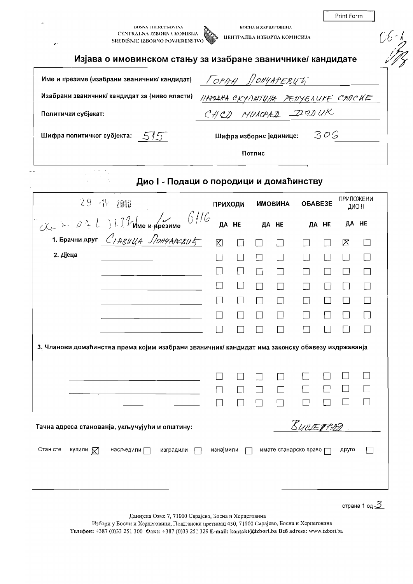|                                                                                                  |                                    |                |        |                                                   |           |         | Print Form       |               |
|--------------------------------------------------------------------------------------------------|------------------------------------|----------------|--------|---------------------------------------------------|-----------|---------|------------------|---------------|
| <b>BOSNA I HERCEGOVINA</b><br>CENTRALNA IZBORNA KOMISIJA<br>SREDIŠNJE IZBORNO POVJERENSTVO<br>J. |                                    |                |        | БОСНА И ХЕРЦЕГОВИНА<br>ЦЕНТРАЛНА ИЗБОРНА КОМИСИЈА |           |         |                  |               |
| Изјава о имовинском стању за изабране званичнике/ кандидате                                      |                                    |                |        |                                                   |           |         |                  |               |
| Име и презиме (изабрани званичник/ кандидат)                                                     |                                    |                |        | TOPAH SOHYAPERYTY                                 |           |         |                  |               |
| Изабрани званичник/ кандидат за (ниво власти)                                                    | НАРОДНА СКУПШТУНА РЕПУБЛИКЕ СЯЛСИЕ |                |        |                                                   |           |         |                  |               |
| Политички субјекат:                                                                              |                                    |                |        | CHCD MUNOPAD DODUK                                |           |         |                  |               |
| Шифра политичког субјекта:<br>515                                                                |                                    |                |        | Шифра изборне јединице:                           |           | 306     |                  |               |
|                                                                                                  |                                    |                | Потпис |                                                   |           |         |                  |               |
| Дио I - Подаци о породици и домаћинству                                                          |                                    |                |        |                                                   |           |         |                  |               |
| $29 - 11 - 2010$                                                                                 |                                    | <b>ПРИХОДИ</b> |        | <b>AHNGOMN</b>                                    |           | OБABE3E | <b>ПРИЛОЖЕНИ</b> | <b>ДИО II</b> |
| $x \sim 0.4 L 323$ due uppeanne $6116$                                                           |                                    | ДА НЕ          |        | ДА НЕ                                             |           | ДА НЕ   |                  | ДА НЕ         |
| 1. Брачни друг $C$ $A$ <i>ABULA <math>\sqrt{O}</math>HYAPEBU</i>                                 | $\boxtimes$                        |                |        |                                                   |           |         | $\times$         |               |
| 2. Дјеца                                                                                         | $\overline{\phantom{a}}$           |                |        | $\Box$                                            |           | П       |                  |               |
|                                                                                                  | $\vert \ \ \vert$                  |                |        | $\Box$                                            |           |         |                  |               |
|                                                                                                  |                                    |                |        | $\vert \ \ \vert$                                 |           |         |                  |               |
|                                                                                                  |                                    |                |        | $\Box$                                            |           |         |                  |               |
|                                                                                                  |                                    |                |        |                                                   |           |         |                  |               |
|                                                                                                  |                                    |                |        |                                                   |           |         |                  |               |
| 3. Чланови домаћинства према којим изабрани званичник/ кандидат има законску обавезу издржаванја |                                    |                |        |                                                   |           |         |                  |               |
|                                                                                                  |                                    |                |        |                                                   |           |         |                  |               |
|                                                                                                  |                                    |                |        | $\Box$                                            |           |         |                  |               |
|                                                                                                  |                                    |                |        |                                                   |           |         |                  |               |
| Тачна адреса станованја, укључујући и општину:                                                   |                                    |                |        |                                                   | BULLETTAD |         |                  |               |
|                                                                                                  |                                    |                |        |                                                   |           |         |                  |               |
| Стан сте<br>купили $\nabla$<br>насљедили $\Box$<br>изградили                                     | изнајмили                          |                |        | имате станарско право р                           |           |         | друго            |               |

страна 1 од  $\underline{\mathcal{3}}$ 

Данијела Озме 7, 71000 Сарајево, Босна и Херцеговина<br>Избори у Босни и Херцеговини, Поштански претинац 450, 71000 Сарајево, Босна и Херцеговина<br>Телефон: +387 (0)33 251 300 Факс: +387 (0)33 251 329 E-mail: kontakt@izbori.ba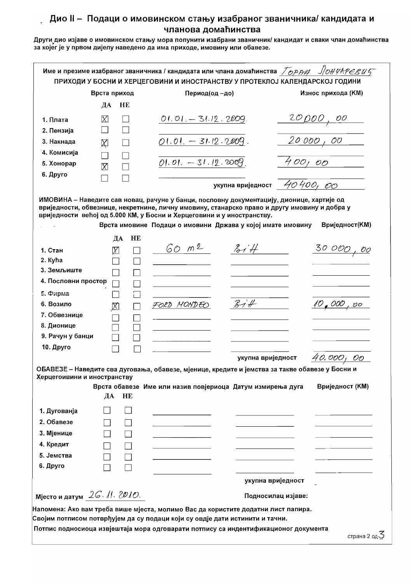за којег је у првом дијелу наведено да има приходе, имовину или обавезе.

|                                                            | Врста приход                  | Период(од -до)                                                                                                                                                |                   | Износ прихода (KM)    |
|------------------------------------------------------------|-------------------------------|---------------------------------------------------------------------------------------------------------------------------------------------------------------|-------------------|-----------------------|
|                                                            | ДА<br>HE                      |                                                                                                                                                               |                   |                       |
| 1. Плата                                                   | X                             | $01.01 - 31.12.2009$                                                                                                                                          |                   | <u>20 ро0, оо</u>     |
| 2. Пензија                                                 |                               |                                                                                                                                                               |                   |                       |
| 3. Накнада                                                 | $\boxtimes$<br>$\mathsf{L}$   | $01.01. - 31.12.2009.$                                                                                                                                        |                   | 20000,00              |
| 4. Комисија                                                |                               |                                                                                                                                                               |                   |                       |
| 5. Хонорар                                                 | X                             | $01.01. - 31.12.2009$                                                                                                                                         | 400,00            |                       |
| 6. Друго                                                   |                               |                                                                                                                                                               |                   |                       |
|                                                            |                               | укупна вриједност $40400,00$                                                                                                                                  |                   |                       |
|                                                            | HE<br>ДА                      | Врста имовине Подаци о имовини Држава у којој имате имовину                                                                                                   |                   | <b>Вриједност(KM)</b> |
| 1. Стан                                                    | X                             | 60 m2<br>314                                                                                                                                                  |                   | 30 000,00             |
| 2. Kyha<br>3. Земљиште                                     |                               |                                                                                                                                                               |                   |                       |
| 4. Пословни простор                                        |                               |                                                                                                                                                               |                   |                       |
|                                                            |                               |                                                                                                                                                               |                   |                       |
| 5. Фирма<br>6. Возило                                      |                               | 37H                                                                                                                                                           |                   | <u>10,000,00</u>      |
| 7. Обвезнице                                               | 区<br>$\overline{\phantom{a}}$ | FORD MONDEO                                                                                                                                                   |                   |                       |
| 8. Дионице                                                 |                               |                                                                                                                                                               |                   |                       |
| 9. Рачун у банци                                           |                               |                                                                                                                                                               |                   |                       |
| 10. Друго                                                  |                               |                                                                                                                                                               |                   |                       |
|                                                            |                               | укупна вриједност                                                                                                                                             |                   | 40.000,<br>OO         |
| Херцегоивини и иностранству                                | ДА<br>HE                      | ОБАВЕЗЕ - Наведите сва дуговања, обавезе, мјенице, кредите и јемства за такве обавезе у Босни и<br>Врста обавезе Име или назив повјериоца Датум измирења дуга |                   | Вриједност (КМ)       |
| 1. Дугованја<br>2. Обавезе                                 |                               |                                                                                                                                                               |                   |                       |
| 3. Мјенице                                                 |                               |                                                                                                                                                               |                   |                       |
|                                                            |                               |                                                                                                                                                               |                   |                       |
|                                                            |                               |                                                                                                                                                               |                   |                       |
| 4. Кредит                                                  |                               |                                                                                                                                                               |                   |                       |
|                                                            |                               |                                                                                                                                                               |                   |                       |
|                                                            |                               |                                                                                                                                                               |                   |                       |
| 5. Јемства<br>6. Друго<br>Мјесто и датум $2G.$ //. $2D1O.$ |                               |                                                                                                                                                               | укупна вриједност |                       |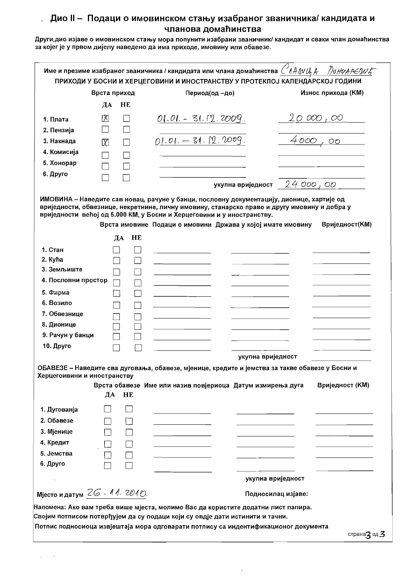Други, дио изјаве о имовинском стању мора попунити изабрани званичник/ кандидат и сваки члан домаћинства за којег је у првом дијелу наведено да има приходе, имовину или обавезе.

|                                          | Врста приход |    | Период(од -до)                                                                                  | Износ прихода (KM)    |
|------------------------------------------|--------------|----|-------------------------------------------------------------------------------------------------|-----------------------|
|                                          | ДА           | HE |                                                                                                 |                       |
| 1. Плата                                 | 囟            |    | $01.01 - 31.12.2009$                                                                            | 20 000 , 00           |
| 2. Пензија                               |              |    |                                                                                                 |                       |
| 3. Накнада                               | $\boxtimes$  |    | $01.01 - 31.12.0009$ .                                                                          | 4000,00               |
| 4. Комисија                              |              |    |                                                                                                 |                       |
| 5. Хонорар                               |              |    |                                                                                                 |                       |
| 6. Друго                                 |              |    |                                                                                                 |                       |
|                                          |              |    | укупна вриједност $24000,00$                                                                    |                       |
| .1. Стан                                 | ДА           | HE | Врста имовине Подаци о имовини Држава у којој имате имовину                                     | <b>Вриједност(KM)</b> |
| 2. Kyha                                  |              |    |                                                                                                 |                       |
| 3. Земљиште                              |              |    |                                                                                                 |                       |
| 4. Пословни простор                      |              |    |                                                                                                 |                       |
| 5. Фирма                                 |              |    |                                                                                                 |                       |
| 6. Возило                                |              |    |                                                                                                 |                       |
| 7. Обвезнице                             |              |    |                                                                                                 |                       |
| 8. Дионице                               |              |    |                                                                                                 |                       |
| 9. Рачун у банци                         |              |    |                                                                                                 |                       |
| 10. Друго                                |              |    |                                                                                                 |                       |
|                                          |              |    | укупна вриједност                                                                               |                       |
| Херцегоивини и иностранству              |              |    | ОБАВЕЗЕ - Наведите сва дуговања, обавезе, мјенице, кредите и јемства за такве обавезе у Босни и |                       |
|                                          |              |    | Врста обавезе Име или назив повјериоца Датум измирења дуга                                      | Вриједност (KM)       |
|                                          | ДА           | HE |                                                                                                 |                       |
| 1. Дугованја                             |              |    |                                                                                                 |                       |
|                                          |              |    |                                                                                                 |                       |
|                                          |              |    |                                                                                                 |                       |
|                                          |              |    |                                                                                                 |                       |
| 2. Обавезе<br>3. Мјенице<br>4. Кредит    |              |    |                                                                                                 |                       |
| 5. Јемства                               |              |    |                                                                                                 |                       |
|                                          |              |    |                                                                                                 |                       |
|                                          |              |    |                                                                                                 |                       |
| 6. Друго<br>Мјесто и датум $26.11.2010.$ |              |    | укупна вриједност<br>Подносилац изјаве:                                                         |                       |

 $\ddot{\phantom{a}}$ 

 $\omega_{\rm{max}}$  ,  $\omega_{\rm{max}}$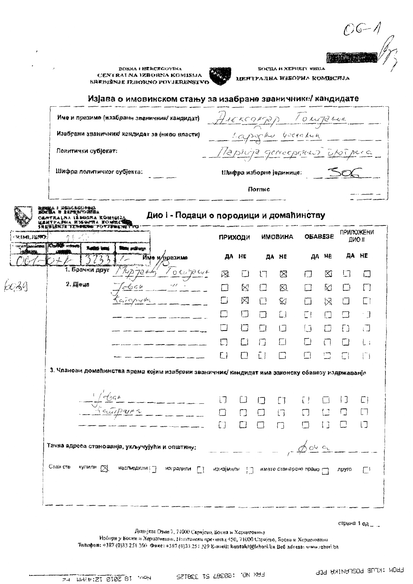$O6 - 1$ 

**BOSNA I HERCEGOVINA** CENTRALNA IZBURNA KOMISIJA **SREDIŠNJE IZHORNO POVJERENSTVO** 



**БОСНА И ХЕРЦЕГС НИЗА** 

ЦЕНТРАДНА ИЗБОРНА КОМИСИЈА

#### Изјава о имовинском стању за изабране званичнике/ кандидате

|                          |                                                                                                                                                           | Име и презиме (изабрани званичник/ кандидат)                                                     | AIEKCOMPOD TOWALL |         |        |                         |        |                |           |                                  |
|--------------------------|-----------------------------------------------------------------------------------------------------------------------------------------------------------|--------------------------------------------------------------------------------------------------|-------------------|---------|--------|-------------------------|--------|----------------|-----------|----------------------------------|
|                          |                                                                                                                                                           | Изабрани званичник кандидат за (ниво власти)                                                     |                   |         |        |                         |        |                |           | Laposchu boerakum ----           |
|                          | Политички субјекат:                                                                                                                                       |                                                                                                  |                   |         |        |                         |        |                |           | Mapirina gerroeportuis uporperco |
|                          | Шифра политичког субјекта:                                                                                                                                |                                                                                                  |                   |         |        | Шифра изборне јединице: |        |                |           |                                  |
|                          |                                                                                                                                                           |                                                                                                  |                   |         | Потиче |                         |        |                |           |                                  |
|                          | а і наналежы <del>ла</del><br>І <i>і заналежна</i> я<br>'ralna išborna konigij <u>a</u><br>ТРА <i>Х</i> НА ИУБОГЛА ХОЖЛСТИ<br><b>WEAKIK TENGREW FOVIN</b> | Дио I - Подаци о породици и домаћинству                                                          |                   |         |        |                         |        |                |           |                                  |
| IMLJERTI                 | <b>Klasses writings</b>                                                                                                                                   |                                                                                                  |                   | ПРИХОДИ |        | <b>MMOBMHA</b>          |        | <b>OBABE3E</b> |           | <b>ПРИЛОЖЕНИ</b><br>ДИО !!       |
| <b><i>AN ANCHORS</i></b> |                                                                                                                                                           | <b>TOOL STARTS OF A</b><br>Име и/презиме                                                         | ДА                | HE      | ДА     | he                      | ДА     | he             | ДА        | he                               |
|                          | 1. Брачки друг                                                                                                                                            | $\frac{102478644}{5}$                                                                            | 丒                 |         | ٣      | ⊠                       | ŧΙ     | ⊠              | 13        | П                                |
| $\mathcal{A}^U$          | 2. Діеца                                                                                                                                                  |                                                                                                  |                   | Ķ.      | □      | 风                       |        | K              | 冂         | Г                                |
|                          |                                                                                                                                                           | Tapyle                                                                                           | $\Box$            | 冈       | $\Box$ | Ÿ.                      |        | ⊠              | □         |                                  |
|                          |                                                                                                                                                           |                                                                                                  |                   | ℿ       | П      | E.I                     | ίł     |                | $\Box$    |                                  |
|                          |                                                                                                                                                           |                                                                                                  |                   | 囗       | ! !    | ۱٦                      | آ آ    |                | Ð         | لَّ⊾َ                            |
|                          |                                                                                                                                                           |                                                                                                  |                   | □       | П      | Г)                      | L.)    | $\left($       |           | ί.                               |
|                          |                                                                                                                                                           |                                                                                                  | Г)                | П       | ŪJ     |                         | l (    | $\Box$         | E.        | $\lceil \rceil$                  |
|                          |                                                                                                                                                           | 3. Чланови домаћинства према којим изабрани званичник/ кандидат има законску обавезу издржаванја |                   |         |        |                         |        |                |           |                                  |
|                          |                                                                                                                                                           |                                                                                                  |                   |         |        |                         |        |                |           |                                  |
|                          |                                                                                                                                                           | Lobar<br>Ketupara                                                                                | IJ                | LJ      |        | Ū                       | U      |                | $\vert$ ] | E)                               |
|                          |                                                                                                                                                           |                                                                                                  |                   |         |        | $\Box$                  |        | া              | 冂         | ET.                              |
|                          |                                                                                                                                                           |                                                                                                  | £Э                | $\Box$  |        | $\Box$                  | $\Box$ | $\Box$         | $\Box$    | LJ                               |
|                          |                                                                                                                                                           | Тачна адреса станованја, укључујући и општину:                                                   |                   |         |        |                         |        |                |           | 0049                             |
|                          |                                                                                                                                                           |                                                                                                  |                   |         |        |                         |        |                |           |                                  |
|                          |                                                                                                                                                           | Стан сте кулили [2] наслыедили [2] изградили [2] изгојмили [2] имате станарско право [2] друго   |                   |         |        |                         |        |                |           | $\Box^1$                         |
|                          |                                                                                                                                                           |                                                                                                  |                   |         |        |                         |        |                |           |                                  |
|                          |                                                                                                                                                           |                                                                                                  |                   |         |        |                         |        |                |           |                                  |

страна 1 од ....

Денијела Озме 7, 71000 Саријско, Болиа и Херцеговина

Избори у Босни в Херцеговини, Постански презинац 450, 71000 Сарајсво, Боска и Херцеговина Телефон: +387 (0)33 251 300 Фэкс: +387 (0)33 251 329 Е-изніі; kontakt@lzbori.ba Bcd adresa: www.izbori.ba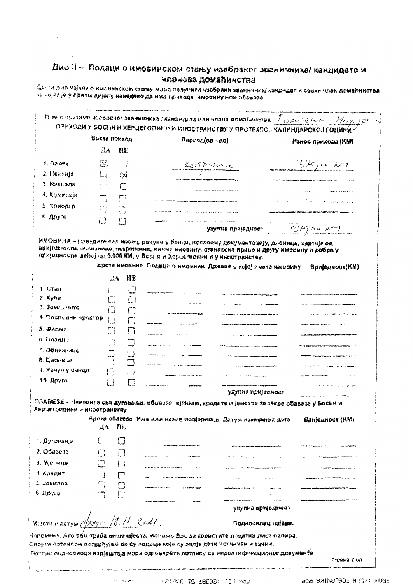$\overline{ }$ 

Други дио изјаве о имовинском стању мора полунити изабрани званичили кандидат и сваки члан домаћинства за нојет је у првом дијегу наведено да има приходе, имовину или обавезе.

|                                  | Врста приход        |             | Период(од - до)                                                                                                                                                                                                                                                                                                                                             | Износ прихода (КМ)              |
|----------------------------------|---------------------|-------------|-------------------------------------------------------------------------------------------------------------------------------------------------------------------------------------------------------------------------------------------------------------------------------------------------------------------------------------------------------------|---------------------------------|
|                                  | ЛА                  | И£          |                                                                                                                                                                                                                                                                                                                                                             |                                 |
| 1. flases                        | 図                   | IJ          | Les parise                                                                                                                                                                                                                                                                                                                                                  | $370,$ 00 $\kappa$              |
| 2. Maesuja                       | □                   | $\propto$   |                                                                                                                                                                                                                                                                                                                                                             |                                 |
| 3. Навызда                       |                     | 门           |                                                                                                                                                                                                                                                                                                                                                             |                                 |
| 4. Комисија                      | لدأ                 | Γl          |                                                                                                                                                                                                                                                                                                                                                             |                                 |
| 5. Хонорар                       | $\lceil$            | IJ          |                                                                                                                                                                                                                                                                                                                                                             | والمناصر المحفر المستور الصرافي |
| € Друго                          | Ľ,                  | m           |                                                                                                                                                                                                                                                                                                                                                             |                                 |
|                                  |                     |             | укупна ариједност                                                                                                                                                                                                                                                                                                                                           | $37900$ $\mu$                   |
|                                  | 云春                  | НE          | врста имовние. Подаци о имовини. Држава у којој имата имовину                                                                                                                                                                                                                                                                                               | Вриједност(КМ)                  |
| 1. Gran<br>2. Kyha               | $\vert \cdot \vert$ |             |                                                                                                                                                                                                                                                                                                                                                             |                                 |
| $3.3$ cm $\sim$ $\mu$ and $\sim$ |                     | $\Box$      |                                                                                                                                                                                                                                                                                                                                                             |                                 |
| 4. Послевни простор              | ن                   | Ιí          | $\frac{1}{2} \sum_{i=1}^n \frac{1}{2} \sum_{j=1}^n \frac{1}{2} \sum_{j=1}^n \frac{1}{2} \sum_{j=1}^n \frac{1}{2} \sum_{j=1}^n \frac{1}{2} \sum_{j=1}^n \frac{1}{2} \sum_{j=1}^n \frac{1}{2} \sum_{j=1}^n \frac{1}{2} \sum_{j=1}^n \frac{1}{2} \sum_{j=1}^n \frac{1}{2} \sum_{j=1}^n \frac{1}{2} \sum_{j=1}^n \frac{1}{2} \sum_{j=1}^n \frac{1}{2} \sum_{j=$ |                                 |
| 5. Фирма                         | Ι÷<br>$\mathbb{C}$  | П           |                                                                                                                                                                                                                                                                                                                                                             |                                 |
| $6.$ $B$ $39.01$                 |                     | Łj          |                                                                                                                                                                                                                                                                                                                                                             |                                 |
| 7. Обнезначе                     | ן ו                 | İΙ          |                                                                                                                                                                                                                                                                                                                                                             |                                 |
| 8. Дионице                       | L j                 | لىا<br>□    |                                                                                                                                                                                                                                                                                                                                                             |                                 |
| 9. Рачун у банци                 | 3                   |             |                                                                                                                                                                                                                                                                                                                                                             |                                 |
| 10. Друго                        | L !                 |             |                                                                                                                                                                                                                                                                                                                                                             |                                 |
|                                  |                     |             | укупна ариједност                                                                                                                                                                                                                                                                                                                                           |                                 |
| Харцегоисини и иностранству      | ДA                  | 31 E        | ОБАВЕЗЕ - Наводите сва дуговања, обавезе, мјенице, кредите и јамства за такве обавезе у Босим и<br>Врста обавезе. Име или назив повјориоце. Датум измирења дуга                                                                                                                                                                                             | Вриједност (КМ)                 |
| 1. Дуговано                      |                     | Ω           |                                                                                                                                                                                                                                                                                                                                                             |                                 |
| $2.05$ aue.se                    | $\Box$ $\Box$       |             |                                                                                                                                                                                                                                                                                                                                                             |                                 |
| э. Мјенице                       | $\square$ 11        |             |                                                                                                                                                                                                                                                                                                                                                             |                                 |
| 4. Крадит                        |                     | $\Box$      |                                                                                                                                                                                                                                                                                                                                                             |                                 |
| 5. JOMCTES                       | rin.<br>Die         | لسم<br>أسنا |                                                                                                                                                                                                                                                                                                                                                             |                                 |
| 6. Lipyro                        | $\Box$              | Γi          |                                                                                                                                                                                                                                                                                                                                                             |                                 |
|                                  |                     |             | укупиа вриједност                                                                                                                                                                                                                                                                                                                                           |                                 |
|                                  |                     |             |                                                                                                                                                                                                                                                                                                                                                             |                                 |
| $M$ ecroncary opera 18.11 2011.  |                     |             | Подносилан изјаве:                                                                                                                                                                                                                                                                                                                                          |                                 |

 $\epsilon$  and  $\epsilon$